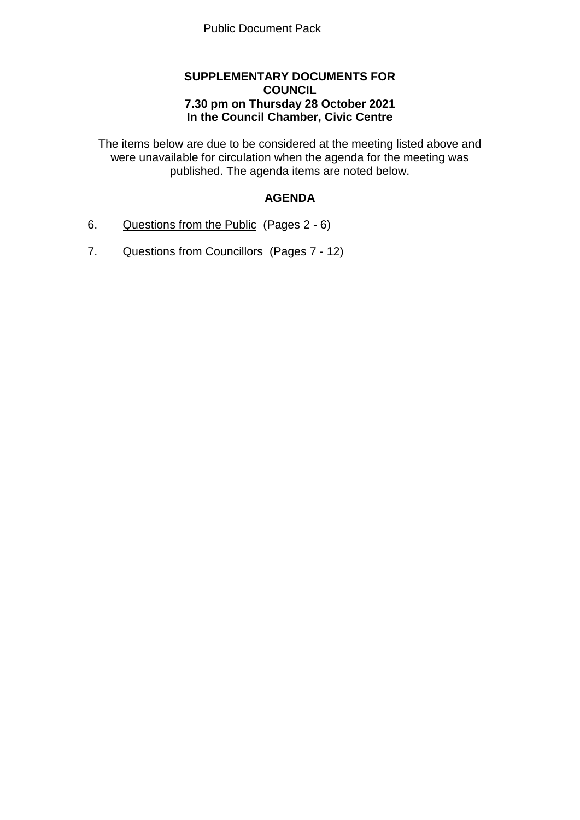## **SUPPLEMENTARY DOCUMENTS FOR COUNCIL 7.30 pm on Thursday 28 October 2021 In the Council Chamber, Civic Centre**

The items below are due to be considered at the meeting listed above and were unavailable for circulation when the agenda for the meeting was published. The agenda items are noted below.

## **AGENDA**

- 6. Questions from the Public (Pages 2 6)
- 7. Questions from Councillors (Pages 7 12)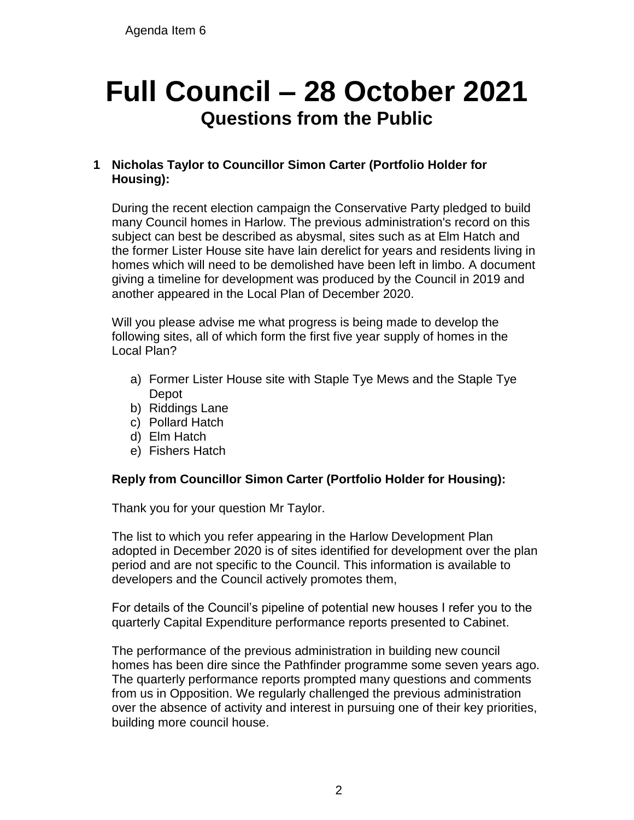## **Full Council – 28 October 2021 Questions from the Public**

## **1 Nicholas Taylor to Councillor Simon Carter (Portfolio Holder for Housing):**

During the recent election campaign the Conservative Party pledged to build many Council homes in Harlow. The previous administration's record on this subject can best be described as abysmal, sites such as at Elm Hatch and the former Lister House site have lain derelict for years and residents living in homes which will need to be demolished have been left in limbo. A document giving a timeline for development was produced by the Council in 2019 and another appeared in the Local Plan of December 2020.

Will you please advise me what progress is being made to develop the following sites, all of which form the first five year supply of homes in the Local Plan?

- a) Former Lister House site with Staple Tye Mews and the Staple Tye Depot
- b) Riddings Lane
- c) Pollard Hatch
- d) Elm Hatch
- e) Fishers Hatch

## **Reply from Councillor Simon Carter (Portfolio Holder for Housing):**

Thank you for your question Mr Taylor.

The list to which you refer appearing in the Harlow Development Plan adopted in December 2020 is of sites identified for development over the plan period and are not specific to the Council. This information is available to developers and the Council actively promotes them,

For details of the Council's pipeline of potential new houses I refer you to the quarterly Capital Expenditure performance reports presented to Cabinet.

The performance of the previous administration in building new council homes has been dire since the Pathfinder programme some seven years ago. The quarterly performance reports prompted many questions and comments from us in Opposition. We regularly challenged the previous administration over the absence of activity and interest in pursuing one of their key priorities, building more council house.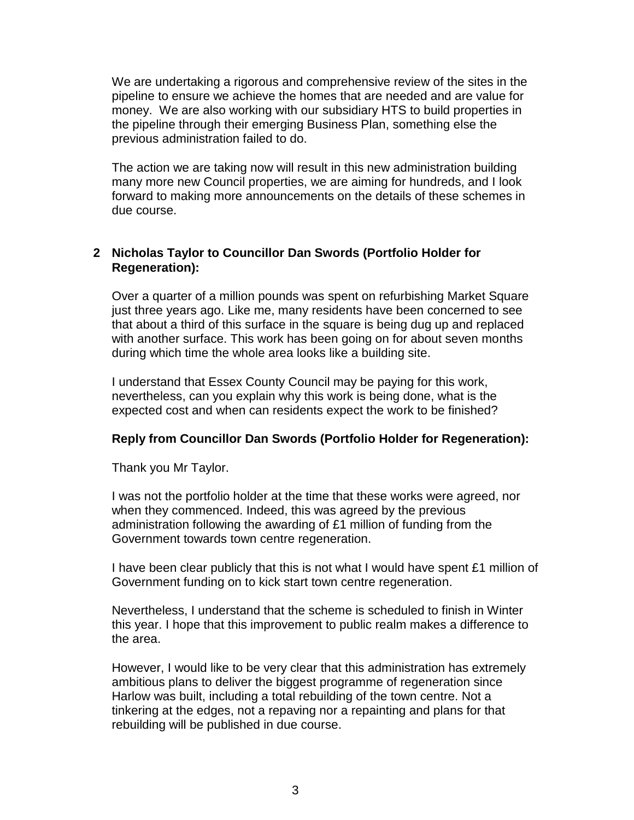We are undertaking a rigorous and comprehensive review of the sites in the pipeline to ensure we achieve the homes that are needed and are value for money. We are also working with our subsidiary HTS to build properties in the pipeline through their emerging Business Plan, something else the previous administration failed to do.

The action we are taking now will result in this new administration building many more new Council properties, we are aiming for hundreds, and I look forward to making more announcements on the details of these schemes in due course.

## **2 Nicholas Taylor to Councillor Dan Swords (Portfolio Holder for Regeneration):**

Over a quarter of a million pounds was spent on refurbishing Market Square just three years ago. Like me, many residents have been concerned to see that about a third of this surface in the square is being dug up and replaced with another surface. This work has been going on for about seven months during which time the whole area looks like a building site.

I understand that Essex County Council may be paying for this work, nevertheless, can you explain why this work is being done, what is the expected cost and when can residents expect the work to be finished?

## **Reply from Councillor Dan Swords (Portfolio Holder for Regeneration):**

Thank you Mr Taylor.

I was not the portfolio holder at the time that these works were agreed, nor when they commenced. Indeed, this was agreed by the previous administration following the awarding of £1 million of funding from the Government towards town centre regeneration.

I have been clear publicly that this is not what I would have spent £1 million of Government funding on to kick start town centre regeneration.

Nevertheless, I understand that the scheme is scheduled to finish in Winter this year. I hope that this improvement to public realm makes a difference to the area.

However, I would like to be very clear that this administration has extremely ambitious plans to deliver the biggest programme of regeneration since Harlow was built, including a total rebuilding of the town centre. Not a tinkering at the edges, not a repaving nor a repainting and plans for that rebuilding will be published in due course.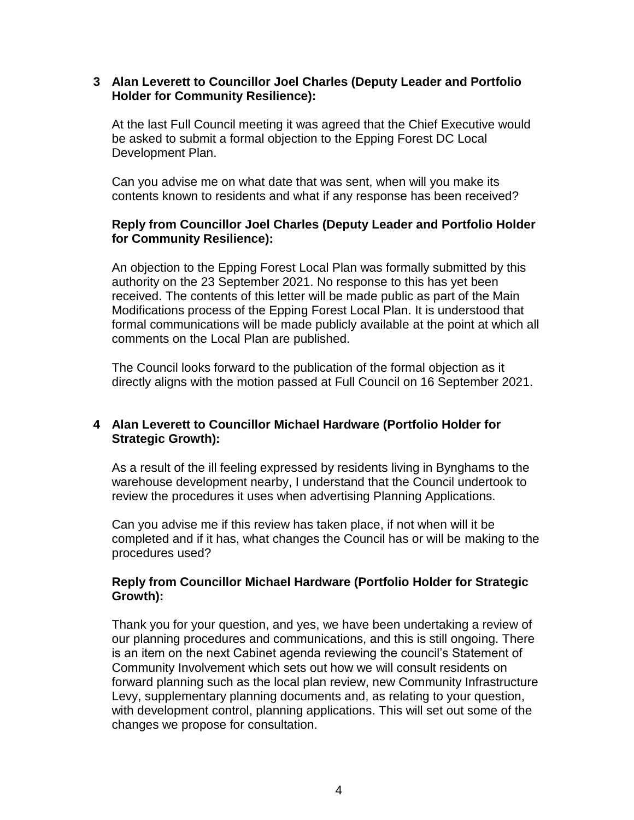### **3 Alan Leverett to Councillor Joel Charles (Deputy Leader and Portfolio Holder for Community Resilience):**

At the last Full Council meeting it was agreed that the Chief Executive would be asked to submit a formal objection to the Epping Forest DC Local Development Plan.

Can you advise me on what date that was sent, when will you make its contents known to residents and what if any response has been received?

## **Reply from Councillor Joel Charles (Deputy Leader and Portfolio Holder for Community Resilience):**

An objection to the Epping Forest Local Plan was formally submitted by this authority on the 23 September 2021. No response to this has yet been received. The contents of this letter will be made public as part of the Main Modifications process of the Epping Forest Local Plan. It is understood that formal communications will be made publicly available at the point at which all comments on the Local Plan are published.

The Council looks forward to the publication of the formal objection as it directly aligns with the motion passed at Full Council on 16 September 2021.

## **4 Alan Leverett to Councillor Michael Hardware (Portfolio Holder for Strategic Growth):**

As a result of the ill feeling expressed by residents living in Bynghams to the warehouse development nearby, I understand that the Council undertook to review the procedures it uses when advertising Planning Applications.

Can you advise me if this review has taken place, if not when will it be completed and if it has, what changes the Council has or will be making to the procedures used?

## **Reply from Councillor Michael Hardware (Portfolio Holder for Strategic Growth):**

Thank you for your question, and yes, we have been undertaking a review of our planning procedures and communications, and this is still ongoing. There is an item on the next Cabinet agenda reviewing the council's Statement of Community Involvement which sets out how we will consult residents on forward planning such as the local plan review, new Community Infrastructure Levy, supplementary planning documents and, as relating to your question, with development control, planning applications. This will set out some of the changes we propose for consultation.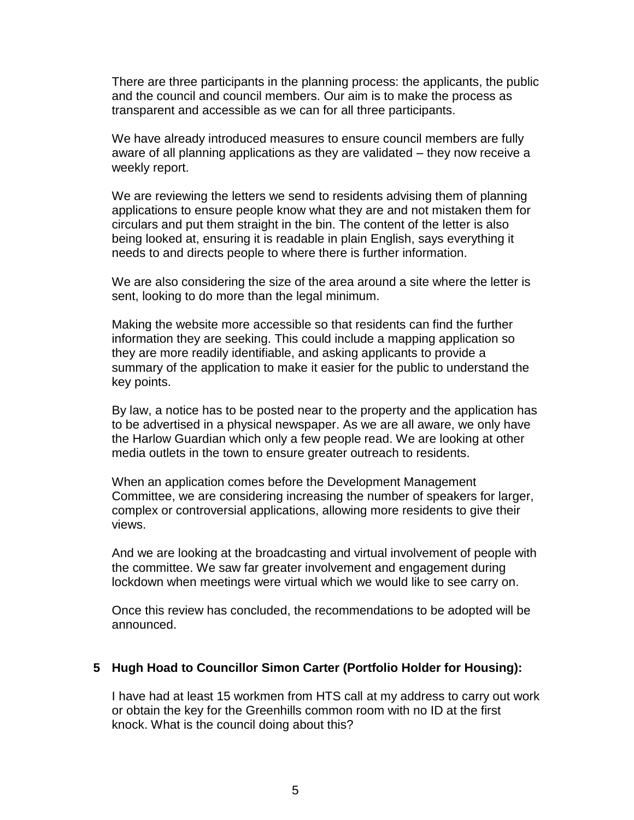There are three participants in the planning process: the applicants, the public and the council and council members. Our aim is to make the process as transparent and accessible as we can for all three participants.

We have already introduced measures to ensure council members are fully aware of all planning applications as they are validated – they now receive a weekly report.

We are reviewing the letters we send to residents advising them of planning applications to ensure people know what they are and not mistaken them for circulars and put them straight in the bin. The content of the letter is also being looked at, ensuring it is readable in plain English, says everything it needs to and directs people to where there is further information.

We are also considering the size of the area around a site where the letter is sent, looking to do more than the legal minimum.

Making the website more accessible so that residents can find the further information they are seeking. This could include a mapping application so they are more readily identifiable, and asking applicants to provide a summary of the application to make it easier for the public to understand the key points.

By law, a notice has to be posted near to the property and the application has to be advertised in a physical newspaper. As we are all aware, we only have the Harlow Guardian which only a few people read. We are looking at other media outlets in the town to ensure greater outreach to residents.

When an application comes before the Development Management Committee, we are considering increasing the number of speakers for larger, complex or controversial applications, allowing more residents to give their views.

And we are looking at the broadcasting and virtual involvement of people with the committee. We saw far greater involvement and engagement during lockdown when meetings were virtual which we would like to see carry on.

Once this review has concluded, the recommendations to be adopted will be announced.

#### **5 Hugh Hoad to Councillor Simon Carter (Portfolio Holder for Housing):**

I have had at least 15 workmen from HTS call at my address to carry out work or obtain the key for the Greenhills common room with no ID at the first knock. What is the council doing about this?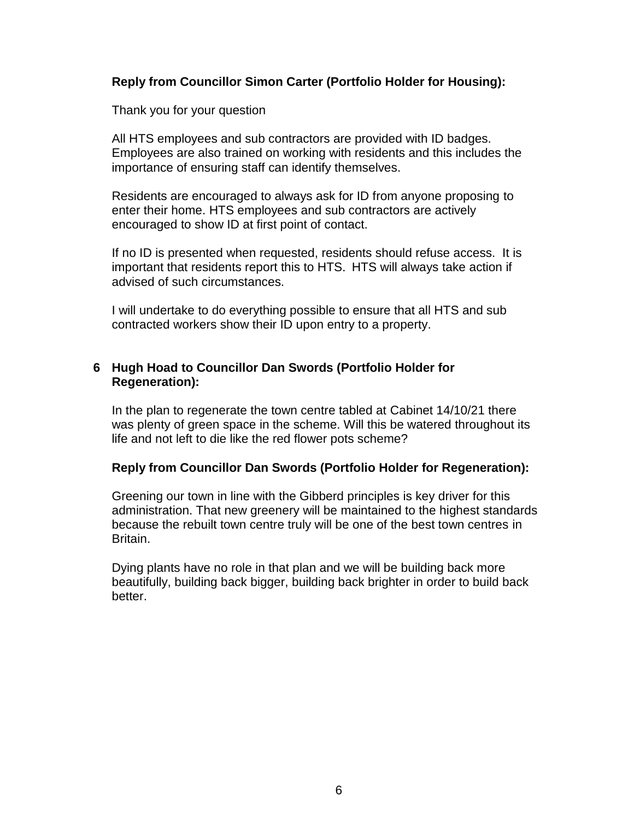## **Reply from Councillor Simon Carter (Portfolio Holder for Housing):**

Thank you for your question

All HTS employees and sub contractors are provided with ID badges. Employees are also trained on working with residents and this includes the importance of ensuring staff can identify themselves.

Residents are encouraged to always ask for ID from anyone proposing to enter their home. HTS employees and sub contractors are actively encouraged to show ID at first point of contact.

If no ID is presented when requested, residents should refuse access. It is important that residents report this to HTS. HTS will always take action if advised of such circumstances.

I will undertake to do everything possible to ensure that all HTS and sub contracted workers show their ID upon entry to a property.

## **6 Hugh Hoad to Councillor Dan Swords (Portfolio Holder for Regeneration):**

In the plan to regenerate the town centre tabled at Cabinet 14/10/21 there was plenty of green space in the scheme. Will this be watered throughout its life and not left to die like the red flower pots scheme?

## **Reply from Councillor Dan Swords (Portfolio Holder for Regeneration):**

Greening our town in line with the Gibberd principles is key driver for this administration. That new greenery will be maintained to the highest standards because the rebuilt town centre truly will be one of the best town centres in Britain.

Dying plants have no role in that plan and we will be building back more beautifully, building back bigger, building back brighter in order to build back better.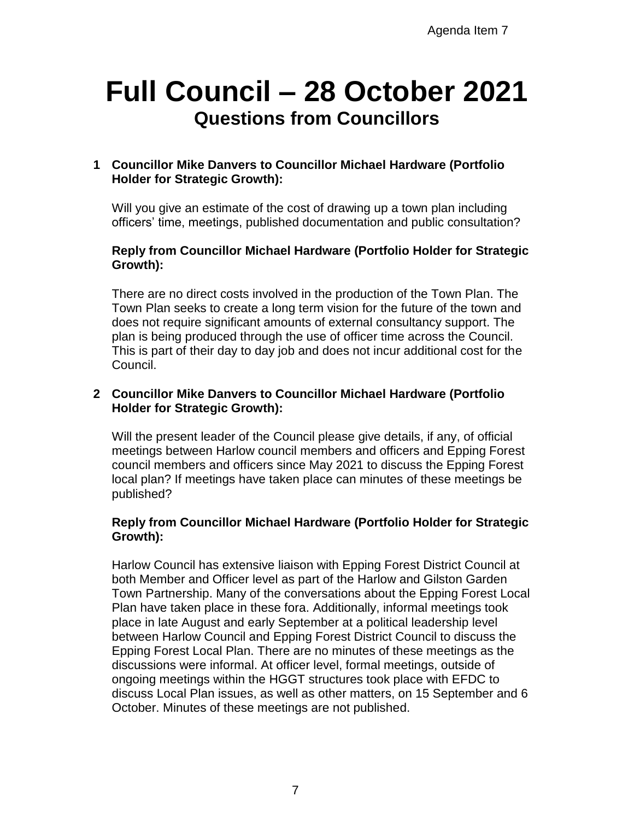# **Full Council – 28 October 2021 Questions from Councillors**

## **1 Councillor Mike Danvers to Councillor Michael Hardware (Portfolio Holder for Strategic Growth):**

Will you give an estimate of the cost of drawing up a town plan including officers' time, meetings, published documentation and public consultation?

## **Reply from Councillor Michael Hardware (Portfolio Holder for Strategic Growth):**

There are no direct costs involved in the production of the Town Plan. The Town Plan seeks to create a long term vision for the future of the town and does not require significant amounts of external consultancy support. The plan is being produced through the use of officer time across the Council. This is part of their day to day job and does not incur additional cost for the Council.

## **2 Councillor Mike Danvers to Councillor Michael Hardware (Portfolio Holder for Strategic Growth):**

Will the present leader of the Council please give details, if any, of official meetings between Harlow council members and officers and Epping Forest council members and officers since May 2021 to discuss the Epping Forest local plan? If meetings have taken place can minutes of these meetings be published?

## **Reply from Councillor Michael Hardware (Portfolio Holder for Strategic Growth):**

Harlow Council has extensive liaison with Epping Forest District Council at both Member and Officer level as part of the Harlow and Gilston Garden Town Partnership. Many of the conversations about the Epping Forest Local Plan have taken place in these fora. Additionally, informal meetings took place in late August and early September at a political leadership level between Harlow Council and Epping Forest District Council to discuss the Epping Forest Local Plan. There are no minutes of these meetings as the discussions were informal. At officer level, formal meetings, outside of ongoing meetings within the HGGT structures took place with EFDC to discuss Local Plan issues, as well as other matters, on 15 September and 6 October. Minutes of these meetings are not published.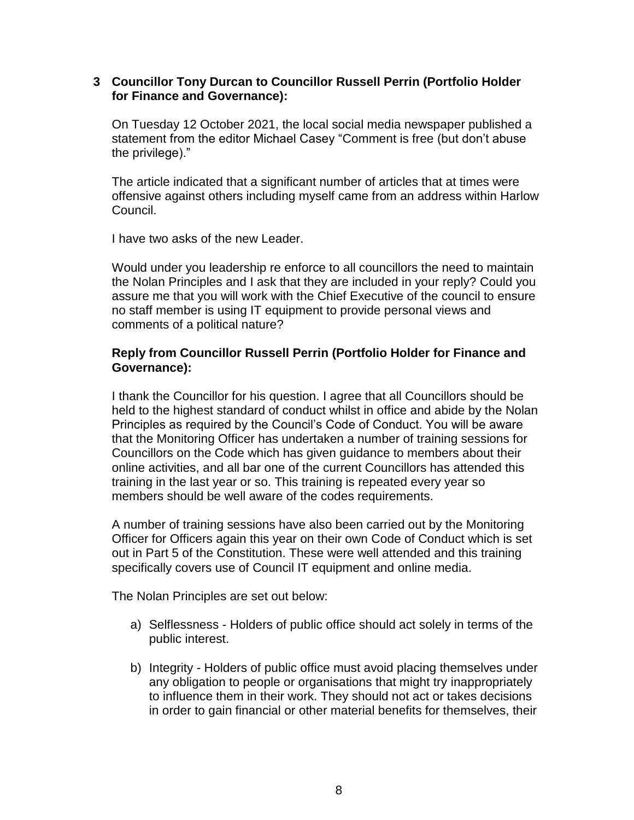#### **3 Councillor Tony Durcan to Councillor Russell Perrin (Portfolio Holder for Finance and Governance):**

On Tuesday 12 October 2021, the local social media newspaper published a statement from the editor Michael Casey "Comment is free (but don't abuse the privilege)."

The article indicated that a significant number of articles that at times were offensive against others including myself came from an address within Harlow Council.

I have two asks of the new Leader.

Would under you leadership re enforce to all councillors the need to maintain the Nolan Principles and I ask that they are included in your reply? Could you assure me that you will work with the Chief Executive of the council to ensure no staff member is using IT equipment to provide personal views and comments of a political nature?

### **Reply from Councillor Russell Perrin (Portfolio Holder for Finance and Governance):**

I thank the Councillor for his question. I agree that all Councillors should be held to the highest standard of conduct whilst in office and abide by the Nolan Principles as required by the Council's Code of Conduct. You will be aware that the Monitoring Officer has undertaken a number of training sessions for Councillors on the Code which has given guidance to members about their online activities, and all bar one of the current Councillors has attended this training in the last year or so. This training is repeated every year so members should be well aware of the codes requirements.

A number of training sessions have also been carried out by the Monitoring Officer for Officers again this year on their own Code of Conduct which is set out in Part 5 of the Constitution. These were well attended and this training specifically covers use of Council IT equipment and online media.

The Nolan Principles are set out below:

- a) Selflessness Holders of public office should act solely in terms of the public interest.
- b) Integrity Holders of public office must avoid placing themselves under any obligation to people or organisations that might try inappropriately to influence them in their work. They should not act or takes decisions in order to gain financial or other material benefits for themselves, their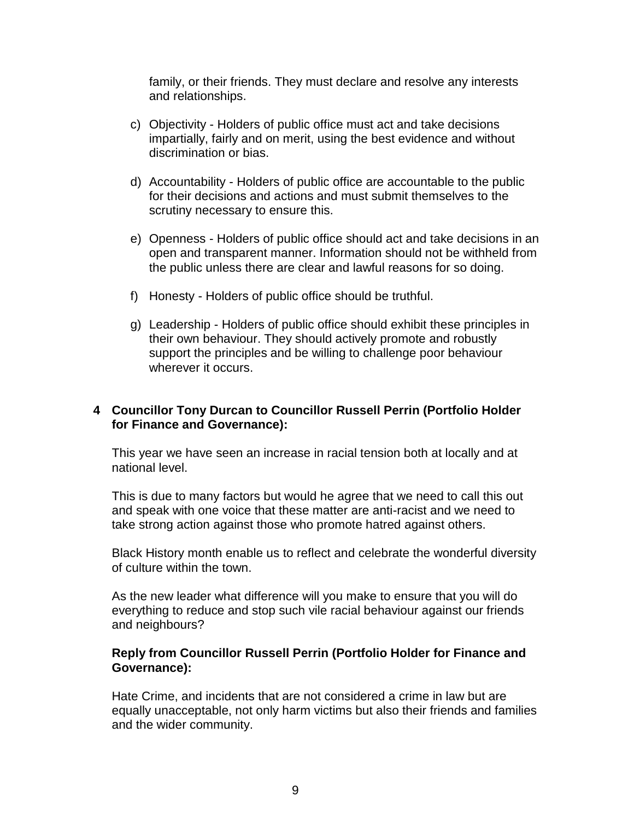family, or their friends. They must declare and resolve any interests and relationships.

- c) Objectivity Holders of public office must act and take decisions impartially, fairly and on merit, using the best evidence and without discrimination or bias.
- d) Accountability Holders of public office are accountable to the public for their decisions and actions and must submit themselves to the scrutiny necessary to ensure this.
- e) Openness Holders of public office should act and take decisions in an open and transparent manner. Information should not be withheld from the public unless there are clear and lawful reasons for so doing.
- f) Honesty Holders of public office should be truthful.
- g) Leadership Holders of public office should exhibit these principles in their own behaviour. They should actively promote and robustly support the principles and be willing to challenge poor behaviour wherever it occurs.

## **4 Councillor Tony Durcan to Councillor Russell Perrin (Portfolio Holder for Finance and Governance):**

This year we have seen an increase in racial tension both at locally and at national level.

This is due to many factors but would he agree that we need to call this out and speak with one voice that these matter are anti-racist and we need to take strong action against those who promote hatred against others.

Black History month enable us to reflect and celebrate the wonderful diversity of culture within the town.

As the new leader what difference will you make to ensure that you will do everything to reduce and stop such vile racial behaviour against our friends and neighbours?

#### **Reply from Councillor Russell Perrin (Portfolio Holder for Finance and Governance):**

Hate Crime, and incidents that are not considered a crime in law but are equally unacceptable, not only harm victims but also their friends and families and the wider community.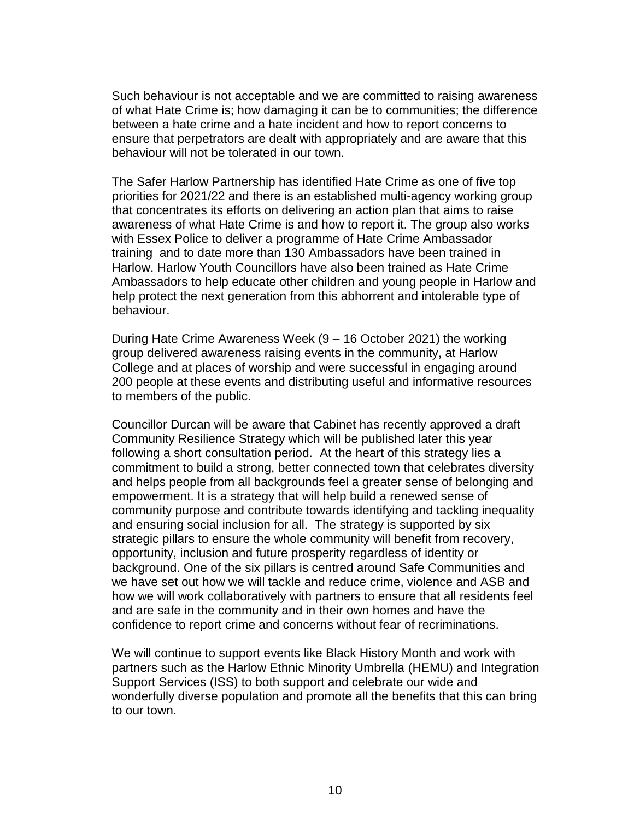Such behaviour is not acceptable and we are committed to raising awareness of what Hate Crime is; how damaging it can be to communities; the difference between a hate crime and a hate incident and how to report concerns to ensure that perpetrators are dealt with appropriately and are aware that this behaviour will not be tolerated in our town.

The Safer Harlow Partnership has identified Hate Crime as one of five top priorities for 2021/22 and there is an established multi-agency working group that concentrates its efforts on delivering an action plan that aims to raise awareness of what Hate Crime is and how to report it. The group also works with Essex Police to deliver a programme of Hate Crime Ambassador training and to date more than 130 Ambassadors have been trained in Harlow. Harlow Youth Councillors have also been trained as Hate Crime Ambassadors to help educate other children and young people in Harlow and help protect the next generation from this abhorrent and intolerable type of behaviour.

During Hate Crime Awareness Week (9 – 16 October 2021) the working group delivered awareness raising events in the community, at Harlow College and at places of worship and were successful in engaging around 200 people at these events and distributing useful and informative resources to members of the public.

Councillor Durcan will be aware that Cabinet has recently approved a draft Community Resilience Strategy which will be published later this year following a short consultation period. At the heart of this strategy lies a commitment to build a strong, better connected town that celebrates diversity and helps people from all backgrounds feel a greater sense of belonging and empowerment. It is a strategy that will help build a renewed sense of community purpose and contribute towards identifying and tackling inequality and ensuring social inclusion for all. The strategy is supported by six strategic pillars to ensure the whole community will benefit from recovery, opportunity, inclusion and future prosperity regardless of identity or background. One of the six pillars is centred around Safe Communities and we have set out how we will tackle and reduce crime, violence and ASB and how we will work collaboratively with partners to ensure that all residents feel and are safe in the community and in their own homes and have the confidence to report crime and concerns without fear of recriminations.

We will continue to support events like Black History Month and work with partners such as the Harlow Ethnic Minority Umbrella (HEMU) and Integration Support Services (ISS) to both support and celebrate our wide and wonderfully diverse population and promote all the benefits that this can bring to our town.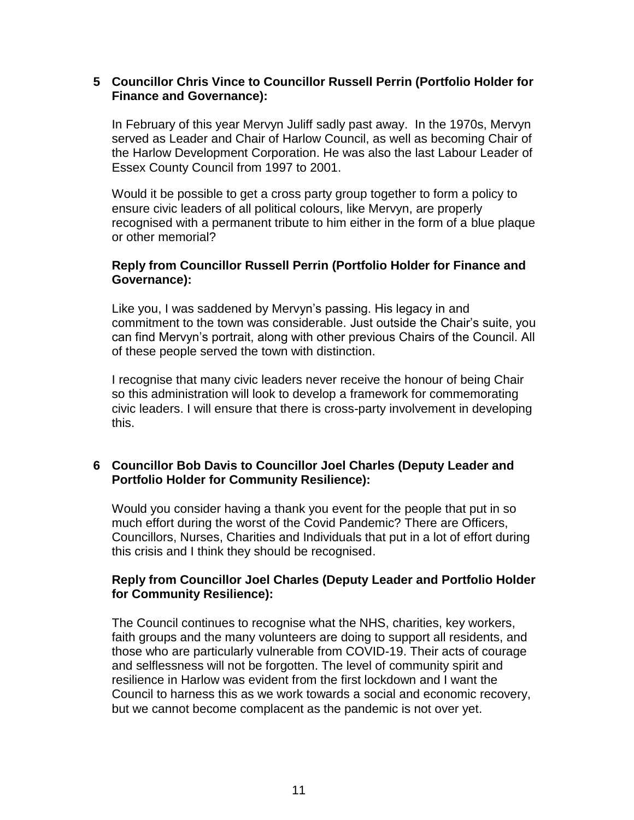### **5 Councillor Chris Vince to Councillor Russell Perrin (Portfolio Holder for Finance and Governance):**

In February of this year Mervyn Juliff sadly past away. In the 1970s, Mervyn served as Leader and Chair of Harlow Council, as well as becoming Chair of the Harlow Development Corporation. He was also the last Labour Leader of Essex County Council from 1997 to 2001.

Would it be possible to get a cross party group together to form a policy to ensure civic leaders of all political colours, like Mervyn, are properly recognised with a permanent tribute to him either in the form of a blue plaque or other memorial?

### **Reply from Councillor Russell Perrin (Portfolio Holder for Finance and Governance):**

Like you, I was saddened by Mervyn's passing. His legacy in and commitment to the town was considerable. Just outside the Chair's suite, you can find Mervyn's portrait, along with other previous Chairs of the Council. All of these people served the town with distinction.

I recognise that many civic leaders never receive the honour of being Chair so this administration will look to develop a framework for commemorating civic leaders. I will ensure that there is cross-party involvement in developing this.

## **6 Councillor Bob Davis to Councillor Joel Charles (Deputy Leader and Portfolio Holder for Community Resilience):**

Would you consider having a thank you event for the people that put in so much effort during the worst of the Covid Pandemic? There are Officers, Councillors, Nurses, Charities and Individuals that put in a lot of effort during this crisis and I think they should be recognised.

## **Reply from Councillor Joel Charles (Deputy Leader and Portfolio Holder for Community Resilience):**

The Council continues to recognise what the NHS, charities, key workers, faith groups and the many volunteers are doing to support all residents, and those who are particularly vulnerable from COVID-19. Their acts of courage and selflessness will not be forgotten. The level of community spirit and resilience in Harlow was evident from the first lockdown and I want the Council to harness this as we work towards a social and economic recovery, but we cannot become complacent as the pandemic is not over yet.